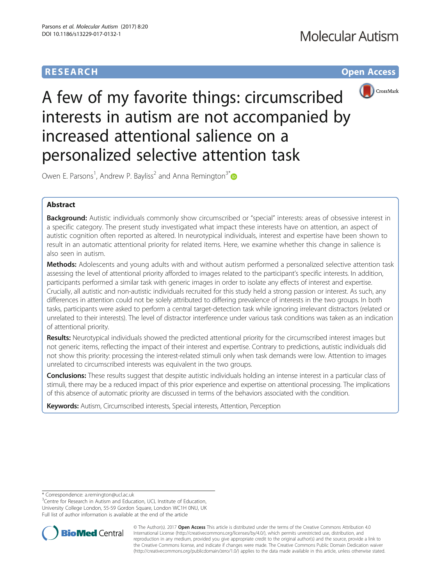# **RESEARCH CHE Open Access**



A few of my favorite things: circumscribed interests in autism are not accompanied by increased attentional salience on a personalized selective attention task

Owen E. Parsons<sup>1</sup>, Andrew P. Bayliss<sup>2</sup> and Anna Remington<sup>3[\\*](http://orcid.org/0000-0003-4299-8887)</sup>

## Abstract

Background: Autistic individuals commonly show circumscribed or "special" interests: areas of obsessive interest in a specific category. The present study investigated what impact these interests have on attention, an aspect of autistic cognition often reported as altered. In neurotypical individuals, interest and expertise have been shown to result in an automatic attentional priority for related items. Here, we examine whether this change in salience is also seen in autism.

Methods: Adolescents and young adults with and without autism performed a personalized selective attention task assessing the level of attentional priority afforded to images related to the participant's specific interests. In addition, participants performed a similar task with generic images in order to isolate any effects of interest and expertise. Crucially, all autistic and non-autistic individuals recruited for this study held a strong passion or interest. As such, any differences in attention could not be solely attributed to differing prevalence of interests in the two groups. In both tasks, participants were asked to perform a central target-detection task while ignoring irrelevant distractors (related or unrelated to their interests). The level of distractor interference under various task conditions was taken as an indication of attentional priority.

Results: Neurotypical individuals showed the predicted attentional priority for the circumscribed interest images but not generic items, reflecting the impact of their interest and expertise. Contrary to predictions, autistic individuals did not show this priority: processing the interest-related stimuli only when task demands were low. Attention to images unrelated to circumscribed interests was equivalent in the two groups.

**Conclusions:** These results suggest that despite autistic individuals holding an intense interest in a particular class of stimuli, there may be a reduced impact of this prior experience and expertise on attentional processing. The implications of this absence of automatic priority are discussed in terms of the behaviors associated with the condition.

Keywords: Autism, Circumscribed interests, Special interests, Attention, Perception

\* Correspondence: [a.remington@ucl.ac.uk](mailto:a.remington@ucl.ac.uk) <sup>3</sup>

<sup>3</sup> Centre for Research in Autism and Education, UCL Institute of Education, University College London, 55-59 Gordon Square, London WC1H 0NU, UK Full list of author information is available at the end of the article



© The Author(s). 2017 **Open Access** This article is distributed under the terms of the Creative Commons Attribution 4.0 International License [\(http://creativecommons.org/licenses/by/4.0/](http://creativecommons.org/licenses/by/4.0/)), which permits unrestricted use, distribution, and reproduction in any medium, provided you give appropriate credit to the original author(s) and the source, provide a link to the Creative Commons license, and indicate if changes were made. The Creative Commons Public Domain Dedication waiver [\(http://creativecommons.org/publicdomain/zero/1.0/](http://creativecommons.org/publicdomain/zero/1.0/)) applies to the data made available in this article, unless otherwise stated.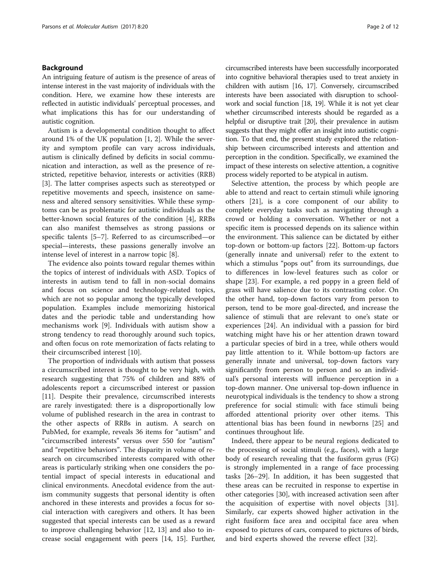## Background

An intriguing feature of autism is the presence of areas of intense interest in the vast majority of individuals with the condition. Here, we examine how these interests are reflected in autistic individuals' perceptual processes, and what implications this has for our understanding of autistic cognition.

Autism is a developmental condition thought to affect around 1% of the UK population [[1, 2\]](#page-10-0). While the severity and symptom profile can vary across individuals, autism is clinically defined by deficits in social communication and interaction, as well as the presence of restricted, repetitive behavior, interests or activities (RRB) [[3\]](#page-10-0). The latter comprises aspects such as stereotyped or repetitive movements and speech, insistence on sameness and altered sensory sensitivities. While these symptoms can be as problematic for autistic individuals as the better-known social features of the condition [\[4](#page-10-0)], RRBs can also manifest themselves as strong passions or specific talents [[5](#page-10-0)–[7](#page-10-0)]. Referred to as circumscribed—or special—interests, these passions generally involve an intense level of interest in a narrow topic [[8](#page-10-0)].

The evidence also points toward regular themes within the topics of interest of individuals with ASD. Topics of interests in autism tend to fall in non-social domains and focus on science and technology-related topics, which are not so popular among the typically developed population. Examples include memorizing historical dates and the periodic table and understanding how mechanisms work [[9\]](#page-10-0). Individuals with autism show a strong tendency to read thoroughly around such topics, and often focus on rote memorization of facts relating to their circumscribed interest [\[10\]](#page-10-0).

The proportion of individuals with autism that possess a circumscribed interest is thought to be very high, with research suggesting that 75% of children and 88% of adolescents report a circumscribed interest or passion [[11\]](#page-10-0). Despite their prevalence, circumscribed interests are rarely investigated: there is a disproportionally low volume of published research in the area in contrast to the other aspects of RRBs in autism. A search on PubMed, for example, reveals 36 items for "autism" and "circumscribed interests" versus over 550 for "autism" and "repetitive behaviors". The disparity in volume of research on circumscribed interests compared with other areas is particularly striking when one considers the potential impact of special interests in educational and clinical environments. Anecdotal evidence from the autism community suggests that personal identity is often anchored in these interests and provides a focus for social interaction with caregivers and others. It has been suggested that special interests can be used as a reward to improve challenging behavior [\[12](#page-10-0), [13\]](#page-10-0) and also to increase social engagement with peers [\[14](#page-10-0), [15](#page-10-0)]. Further,

circumscribed interests have been successfully incorporated into cognitive behavioral therapies used to treat anxiety in children with autism [[16](#page-10-0), [17](#page-10-0)]. Conversely, circumscribed interests have been associated with disruption to schoolwork and social function [\[18, 19\]](#page-10-0). While it is not yet clear whether circumscribed interests should be regarded as a helpful or disruptive trait [\[20](#page-10-0)], their prevalence in autism suggests that they might offer an insight into autistic cognition. To that end, the present study explored the relationship between circumscribed interests and attention and perception in the condition. Specifically, we examined the impact of these interests on selective attention, a cognitive process widely reported to be atypical in autism.

Selective attention, the process by which people are able to attend and react to certain stimuli while ignoring others [\[21\]](#page-10-0), is a core component of our ability to complete everyday tasks such as navigating through a crowd or holding a conversation. Whether or not a specific item is processed depends on its salience within the environment. This salience can be dictated by either top-down or bottom-up factors [[22](#page-10-0)]. Bottom-up factors (generally innate and universal) refer to the extent to which a stimulus "pops out" from its surroundings, due to differences in low-level features such as color or shape [[23](#page-11-0)]. For example, a red poppy in a green field of grass will have salience due to its contrasting color. On the other hand, top-down factors vary from person to person, tend to be more goal-directed, and increase the salience of stimuli that are relevant to one's state or experiences [[24](#page-11-0)]. An individual with a passion for bird watching might have his or her attention drawn toward a particular species of bird in a tree, while others would pay little attention to it. While bottom-up factors are generally innate and universal, top-down factors vary significantly from person to person and so an individual's personal interests will influence perception in a top-down manner. One universal top-down influence in neurotypical individuals is the tendency to show a strong preference for social stimuli: with face stimuli being afforded attentional priority over other items. This attentional bias has been found in newborns [[25\]](#page-11-0) and continues throughout life.

Indeed, there appear to be neural regions dedicated to the processing of social stimuli (e.g., faces), with a large body of research revealing that the fusiform gyrus (FG) is strongly implemented in a range of face processing tasks [\[26](#page-11-0)–[29\]](#page-11-0). In addition, it has been suggested that these areas can be recruited in response to expertise in other categories [\[30\]](#page-11-0), with increased activation seen after the acquisition of expertise with novel objects [\[31](#page-11-0)]. Similarly, car experts showed higher activation in the right fusiform face area and occipital face area when exposed to pictures of cars, compared to pictures of birds, and bird experts showed the reverse effect [[32\]](#page-11-0).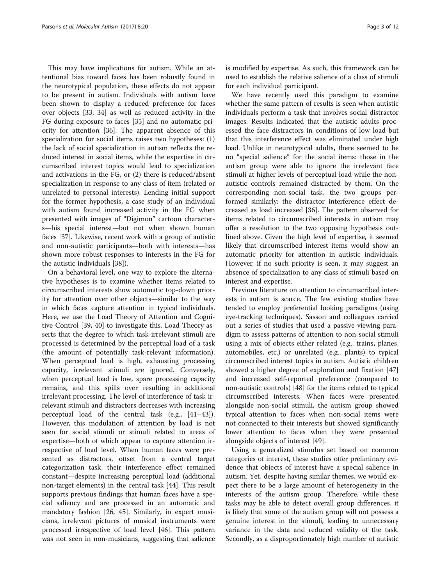This may have implications for autism. While an attentional bias toward faces has been robustly found in the neurotypical population, these effects do not appear to be present in autism. Individuals with autism have been shown to display a reduced preference for faces over objects [[33, 34](#page-11-0)] as well as reduced activity in the FG during exposure to faces [[35\]](#page-11-0) and no automatic priority for attention [[36\]](#page-11-0). The apparent absence of this specialization for social items raises two hypotheses: (1) the lack of social specialization in autism reflects the reduced interest in social items, while the expertise in circumscribed interest topics would lead to specialization and activations in the FG, or (2) there is reduced/absent specialization in response to any class of item (related or unrelated to personal interests). Lending initial support for the former hypothesis, a case study of an individual with autism found increased activity in the FG when presented with images of "Digimon" cartoon characters—his special interest—but not when shown human faces [[37\]](#page-11-0). Likewise, recent work with a group of autistic and non-autistic participants—both with interests—has shown more robust responses to interests in the FG for the autistic individuals [[38\]](#page-11-0)).

On a behavioral level, one way to explore the alternative hypotheses is to examine whether items related to circumscribed interests show automatic top-down priority for attention over other objects—similar to the way in which faces capture attention in typical individuals. Here, we use the Load Theory of Attention and Cognitive Control [[39, 40\]](#page-11-0) to investigate this. Load Theory asserts that the degree to which task-irrelevant stimuli are processed is determined by the perceptual load of a task (the amount of potentially task-relevant information). When perceptual load is high, exhausting processing capacity, irrelevant stimuli are ignored. Conversely, when perceptual load is low, spare processing capacity remains, and this spills over resulting in additional irrelevant processing. The level of interference of task irrelevant stimuli and distractors decreases with increasing perceptual load of the central task (e.g., [\[41](#page-11-0)–[43](#page-11-0)]). However, this modulation of attention by load is not seen for social stimuli or stimuli related to areas of expertise—both of which appear to capture attention irrespective of load level. When human faces were presented as distractors, offset from a central target categorization task, their interference effect remained constant—despite increasing perceptual load (additional non-target elements) in the central task [[44\]](#page-11-0). This result supports previous findings that human faces have a special saliency and are processed in an automatic and mandatory fashion [\[26](#page-11-0), [45](#page-11-0)]. Similarly, in expert musicians, irrelevant pictures of musical instruments were processed irrespective of load level [\[46\]](#page-11-0). This pattern was not seen in non-musicians, suggesting that salience

is modified by expertise. As such, this framework can be used to establish the relative salience of a class of stimuli for each individual participant.

We have recently used this paradigm to examine whether the same pattern of results is seen when autistic individuals perform a task that involves social distractor images. Results indicated that the autistic adults processed the face distractors in conditions of low load but that this interference effect was eliminated under high load. Unlike in neurotypical adults, there seemed to be no "special salience" for the social items: those in the autism group were able to ignore the irrelevant face stimuli at higher levels of perceptual load while the nonautistic controls remained distracted by them. On the corresponding non-social task, the two groups performed similarly: the distractor interference effect decreased as load increased [[36\]](#page-11-0). The pattern observed for items related to circumscribed interests in autism may offer a resolution to the two opposing hypothesis outlined above. Given the high level of expertise, it seemed likely that circumscribed interest items would show an automatic priority for attention in autistic individuals. However, if no such priority is seen, it may suggest an absence of specialization to any class of stimuli based on interest and expertise.

Previous literature on attention to circumscribed interests in autism is scarce. The few existing studies have tended to employ preferential looking paradigms (using eye-tracking techniques). Sasson and colleagues carried out a series of studies that used a passive-viewing paradigm to assess patterns of attention to non-social stimuli using a mix of objects either related (e.g., trains, planes, automobiles, etc.) or unrelated (e.g., plants) to typical circumscribed interest topics in autism. Autistic children showed a higher degree of exploration and fixation [[47](#page-11-0)] and increased self-reported preference (compared to non-autistic controls) [[48\]](#page-11-0) for the items related to typical circumscribed interests. When faces were presented alongside non-social stimuli, the autism group showed typical attention to faces when non-social items were not connected to their interests but showed significantly lower attention to faces when they were presented alongside objects of interest [[49\]](#page-11-0).

Using a generalized stimulus set based on common categories of interest, these studies offer preliminary evidence that objects of interest have a special salience in autism. Yet, despite having similar themes, we would expect there to be a large amount of heterogeneity in the interests of the autism group. Therefore, while these tasks may be able to detect overall group differences, it is likely that some of the autism group will not possess a genuine interest in the stimuli, leading to unnecessary variance in the data and reduced validity of the task. Secondly, as a disproportionately high number of autistic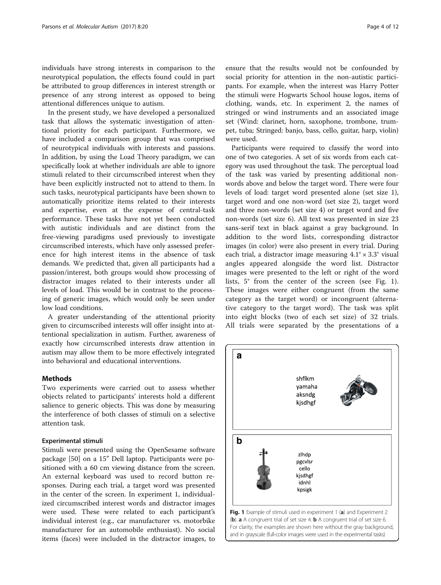individuals have strong interests in comparison to the neurotypical population, the effects found could in part be attributed to group differences in interest strength or presence of any strong interest as opposed to being attentional differences unique to autism.

In the present study, we have developed a personalized task that allows the systematic investigation of attentional priority for each participant. Furthermore, we have included a comparison group that was comprised of neurotypical individuals with interests and passions. In addition, by using the Load Theory paradigm, we can specifically look at whether individuals are able to ignore stimuli related to their circumscribed interest when they have been explicitly instructed not to attend to them. In such tasks, neurotypical participants have been shown to automatically prioritize items related to their interests and expertise, even at the expense of central-task performance. These tasks have not yet been conducted with autistic individuals and are distinct from the free-viewing paradigms used previously to investigate circumscribed interests, which have only assessed preference for high interest items in the absence of task demands. We predicted that, given all participants had a passion/interest, both groups would show processing of distractor images related to their interests under all levels of load. This would be in contrast to the processing of generic images, which would only be seen under low load conditions.

A greater understanding of the attentional priority given to circumscribed interests will offer insight into attentional specialization in autism. Further, awareness of exactly how circumscribed interests draw attention in autism may allow them to be more effectively integrated into behavioral and educational interventions.

## **Methods**

Two experiments were carried out to assess whether objects related to participants' interests hold a different salience to generic objects. This was done by measuring the interference of both classes of stimuli on a selective attention task.

#### Experimental stimuli

Stimuli were presented using the OpenSesame software package [[50\]](#page-11-0) on a 15" Dell laptop. Participants were positioned with a 60 cm viewing distance from the screen. An external keyboard was used to record button responses. During each trial, a target word was presented in the center of the screen. In experiment 1, individualized circumscribed interest words and distractor images were used. These were related to each participant's individual interest (e.g., car manufacturer vs. motorbike manufacturer for an automobile enthusiast). No social items (faces) were included in the distractor images, to

ensure that the results would not be confounded by social priority for attention in the non-autistic participants. For example, when the interest was Harry Potter the stimuli were Hogwarts School house logos, items of clothing, wands, etc. In experiment 2, the names of stringed or wind instruments and an associated image set (Wind: clarinet, horn, saxophone, trombone, trumpet, tuba; Stringed: banjo, bass, cello, guitar, harp, violin) were used.

Participants were required to classify the word into one of two categories. A set of six words from each category was used throughout the task. The perceptual load of the task was varied by presenting additional nonwords above and below the target word. There were four levels of load: target word presented alone (set size 1), target word and one non-word (set size 2), target word and three non-words (set size 4) or target word and five non-words (set size 6). All text was presented in size 23 sans-serif text in black against a gray background. In addition to the word lists, corresponding distractor images (in color) were also present in every trial. During each trial, a distractor image measuring  $4.1^\circ \times 3.3^\circ$  visual angles appeared alongside the word list. Distractor images were presented to the left or right of the word lists, 5° from the center of the screen (see Fig. 1). These images were either congruent (from the same category as the target word) or incongruent (alternative category to the target word). The task was split into eight blocks (two of each set size) of 32 trials. All trials were separated by the presentations of a

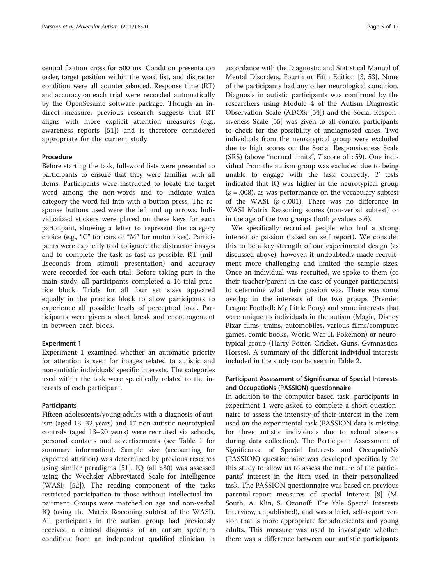central fixation cross for 500 ms. Condition presentation order, target position within the word list, and distractor condition were all counterbalanced. Response time (RT) and accuracy on each trial were recorded automatically by the OpenSesame software package. Though an indirect measure, previous research suggests that RT aligns with more explicit attention measures (e.g., awareness reports [\[51](#page-11-0)]) and is therefore considered appropriate for the current study.

#### Procedure

Before starting the task, full-word lists were presented to participants to ensure that they were familiar with all items. Participants were instructed to locate the target word among the non-words and to indicate which category the word fell into with a button press. The response buttons used were the left and up arrows. Individualized stickers were placed on these keys for each participant, showing a letter to represent the category choice (e.g., "C" for cars or "M" for motorbikes). Participants were explicitly told to ignore the distractor images and to complete the task as fast as possible. RT (milliseconds from stimuli presentation) and accuracy were recorded for each trial. Before taking part in the main study, all participants completed a 16-trial practice block. Trials for all four set sizes appeared equally in the practice block to allow participants to experience all possible levels of perceptual load. Participants were given a short break and encouragement in between each block.

#### Experiment 1

Experiment 1 examined whether an automatic priority for attention is seen for images related to autistic and non-autistic individuals' specific interests. The categories used within the task were specifically related to the interests of each participant.

## **Participants**

Fifteen adolescents/young adults with a diagnosis of autism (aged 13–32 years) and 17 non-autistic neurotypical controls (aged 13–20 years) were recruited via schools, personal contacts and advertisements (see Table [1](#page-5-0) for summary information). Sample size (accounting for expected attrition) was determined by previous research using similar paradigms [[51\]](#page-11-0). IQ (all >80) was assessed using the Wechsler Abbreviated Scale for Intelligence (WASI; [\[52](#page-11-0)]). The reading component of the tasks restricted participation to those without intellectual impairment. Groups were matched on age and non-verbal IQ (using the Matrix Reasoning subtest of the WASI). All participants in the autism group had previously received a clinical diagnosis of an autism spectrum condition from an independent qualified clinician in

accordance with the Diagnostic and Statistical Manual of Mental Disorders, Fourth or Fifth Edition [\[3](#page-10-0), [53](#page-11-0)]. None of the participants had any other neurological condition. Diagnosis in autistic participants was confirmed by the researchers using Module 4 of the Autism Diagnostic Observation Scale (ADOS; [\[54\]](#page-11-0)) and the Social Responsiveness Scale [\[55](#page-11-0)] was given to all control participants to check for the possibility of undiagnosed cases. Two individuals from the neurotypical group were excluded due to high scores on the Social Responsiveness Scale (SRS) (above "normal limits", T score of >59). One individual from the autism group was excluded due to being unable to engage with the task correctly.  $T$  tests indicated that IQ was higher in the neurotypical group  $(p=.008)$ , as was performance on the vocabulary subtest of the WASI  $(p < .001)$ . There was no difference in WASI Matrix Reasoning scores (non-verbal subtest) or in the age of the two groups (both  $p$  values >.6).

We specifically recruited people who had a strong interest or passion (based on self report). We consider this to be a key strength of our experimental design (as discussed above); however, it undoubtedly made recruitment more challenging and limited the sample sizes. Once an individual was recruited, we spoke to them (or their teacher/parent in the case of younger participants) to determine what their passion was. There was some overlap in the interests of the two groups (Premier League Football; My Little Pony) and some interests that were unique to individuals in the autism (Magic, Disney Pixar films, trains, automobiles, various films/computer games, comic books, World War II, Pokémon) or neurotypical group (Harry Potter, Cricket, Guns, Gymnastics, Horses). A summary of the different individual interests included in the study can be seen in Table [2.](#page-5-0)

## Participant Assessment of Significance of Special Interests and OccupatioNs (PASSION) questionnaire

In addition to the computer-based task, participants in experiment 1 were asked to complete a short questionnaire to assess the intensity of their interest in the item used on the experimental task (PASSION data is missing for three autistic individuals due to school absence during data collection). The Participant Assessment of Significance of Special Interests and OccupatioNs (PASSION) questionnaire was developed specifically for this study to allow us to assess the nature of the participants' interest in the item used in their personalized task. The PASSION questionnaire was based on previous parental-report measures of special interest [\[8\]](#page-10-0) (M. South, A. Klin, S. Ozonoff: The Yale Special Interests Interview, unpublished), and was a brief, self-report version that is more appropriate for adolescents and young adults. This measure was used to investigate whether there was a difference between our autistic participants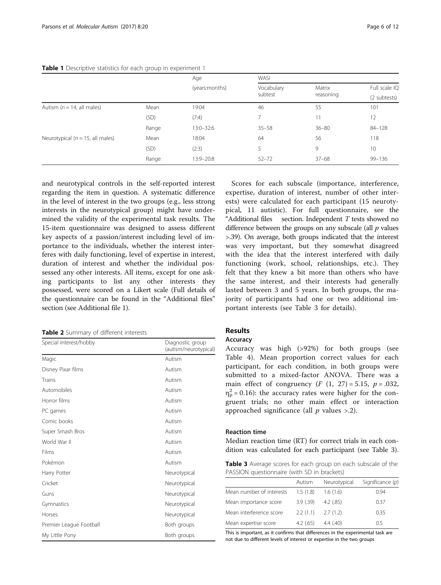|                                      |       | Age<br>(years:months) | WASI           |           |               |  |  |  |
|--------------------------------------|-------|-----------------------|----------------|-----------|---------------|--|--|--|
|                                      |       |                       | Vocabulary     | Matrix    | Full scale IC |  |  |  |
|                                      |       |                       | subtest        | reasoning | (2 subtests)  |  |  |  |
| Autism ( $n = 14$ , all males)       | Mean  | 19:04                 | 46             | 55        | 101           |  |  |  |
|                                      | (SD)  | (7:4)                 | $\overline{7}$ | 11        | 12            |  |  |  |
|                                      | Range | $13:0 - 32:6$         | $35 - 58$      | $36 - 80$ | $84 - 128$    |  |  |  |
| Neurotypical ( $n = 15$ , all males) | Mean  | 18:04                 | 64             | 56        | 118           |  |  |  |
|                                      | (SD)  | (2:3)                 | 5              | 9         | 10            |  |  |  |
|                                      | Range | 13:9-20:8             | $52 - 72$      | $37 - 68$ | 99-136        |  |  |  |

#### <span id="page-5-0"></span>Table 1 Descriptive statistics for each group in experiment 1

and neurotypical controls in the self-reported interest regarding the item in question. A systematic difference in the level of interest in the two groups (e.g., less strong interests in the neurotypical group) might have undermined the validity of the experimental task results. The 15-item questionnaire was designed to assess different key aspects of a passion/interest including level of importance to the individuals, whether the interest interferes with daily functioning, level of expertise in interest, duration of interest and whether the individual possessed any other interests. All items, except for one asking participants to list any other interests they possessed, were scored on a Likert scale (Full details of the questionnaire can be found in the "[Additional files](#page-10-0)" section (see Additional file [1](#page-10-0)).

Table 2 Summary of different interests

| Special interest/hobby  | Diagnostic group<br>(autism/neurotypical) |
|-------------------------|-------------------------------------------|
| Magic                   | Autism                                    |
| Disney Pixar films      | Autism                                    |
| Trains                  | Autism                                    |
| Automobiles             | Autism                                    |
| Horror films            | Autism                                    |
| PC games                | Autism                                    |
| Comic books             | Autism                                    |
| Super Smash Bros        | Autism                                    |
| World War II            | Autism                                    |
| Films                   | Autism                                    |
| Pokémon                 | Autism                                    |
| Harry Potter            | Neurotypical                              |
| Cricket                 | Neurotypical                              |
| Guns                    | Neurotypical                              |
| Gymnastics              | Neurotypical                              |
| Horses                  | Neurotypical                              |
| Premier League Football | Both groups                               |
| My Little Pony          | Both groups                               |

Scores for each subscale (importance, interference, expertise, duration of interest, number of other interests) were calculated for each participant (15 neurotypical, 11 autistic). For full questionnaire, see the "[Additional files](#page-10-0) section. Independent  $T$  tests showed no difference between the groups on any subscale (all  $p$  values >.39). On average, both groups indicated that the interest was very important, but they somewhat disagreed with the idea that the interest interfered with daily functioning (work, school, relationships, etc.). They felt that they knew a bit more than others who have the same interest, and their interests had generally lasted between 3 and 5 years. In both groups, the majority of participants had one or two additional important interests (see Table 3 for details).

## Results

#### Accuracy

Accuracy was high (>92%) for both groups (see Table [4\)](#page-6-0). Mean proportion correct values for each participant, for each condition, in both groups were submitted to a mixed-factor ANOVA. There was a main effect of congruency (*F* (1, 27) = 5.15,  $p = .032$ ,  $\eta_p^2$  = 0.16): the accuracy rates were higher for the congruent trials; no other main effect or interaction approached significance (all  $p$  values >.2).

## Reaction time

Median reaction time (RT) for correct trials in each condition was calculated for each participant (see Table 3).

| <b>Table 3</b> Average scores for each group on each subscale of the |  |  |  |  |  |
|----------------------------------------------------------------------|--|--|--|--|--|
| PASSION questionnaire (with SD in brackets)                          |  |  |  |  |  |

|                          | Autism      | Neurotypical | Significance (p) |
|--------------------------|-------------|--------------|------------------|
| Mean number of interests | 1.5(1.8)    | 1.6(1.6)     | 0.94             |
| Mean importance score    | 3.9(39)     | 4.2(.85)     | 0.37             |
| Mean interference score  | 2.2(1.1)    | 2.7(1.2)     | 0.35             |
| Mean expertise score     | $4.2$ (.65) | 4.4(40)      | 05               |

This is important, as it confirms that differences in the experimental task are not due to different levels of interest or expertise in the two groups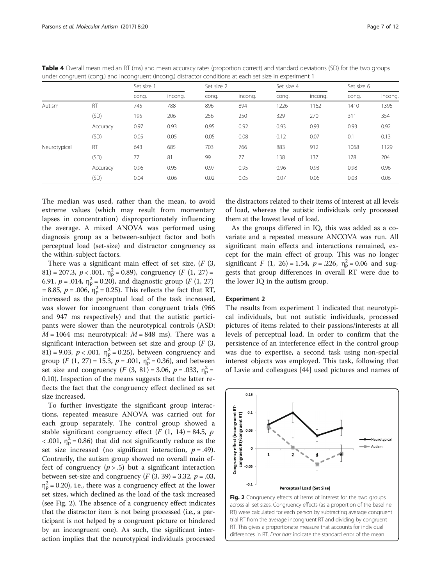|              |           | Set size 1 |         |       | Set size 2 |       | Set size 4 |       | Set size 6 |  |
|--------------|-----------|------------|---------|-------|------------|-------|------------|-------|------------|--|
|              |           | cong.      | incong. | cong. | incong.    | cong. | incong.    | cong. | incong.    |  |
| Autism       | <b>RT</b> | 745        | 788     | 896   | 894        | 1226  | 1162       | 1410  | 1395       |  |
|              | (SD)      | 195        | 206     | 256   | 250        | 329   | 270        | 311   | 354        |  |
|              | Accuracy  | 0.97       | 0.93    | 0.95  | 0.92       | 0.93  | 0.93       | 0.93  | 0.92       |  |
|              | (SD)      | 0.05       | 0.05    | 0.05  | 0.08       | 0.12  | 0.07       | 0.1   | 0.13       |  |
| Neurotypical | <b>RT</b> | 643        | 685     | 703   | 766        | 883   | 912        | 1068  | 1129       |  |
|              | (SD)      | 77         | 81      | 99    | 77         | 138   | 137        | 178   | 204        |  |
|              | Accuracy  | 0.96       | 0.95    | 0.97  | 0.95       | 0.96  | 0.93       | 0.98  | 0.96       |  |
|              | (SD)      | 0.04       | 0.06    | 0.02  | 0.05       | 0.07  | 0.06       | 0.03  | 0.06       |  |

<span id="page-6-0"></span>Table 4 Overall mean median RT (ms) and mean accuracy rates (proportion correct) and standard deviations (SD) for the two groups under congruent (cong.) and incongruent (incong.) distractor conditions at each set size in experiment 1

The median was used, rather than the mean, to avoid extreme values (which may result from momentary lapses in concentration) disproportionately influencing the average. A mixed ANOVA was performed using diagnosis group as a between-subject factor and both perceptual load (set-size) and distractor congruency as the within-subject factors.

There was a significant main effect of set size,  $(F(3,$ 81) = 207.3,  $p < .001$ ,  $\eta_p^2 = 0.89$ ), congruency (*F* (1, 27) = 6.91,  $p = .014$ ,  $\eta_p^2 = 0.20$ ), and diagnostic group (*F* (1, 27) = 8.85,  $p = .006$ ,  $\eta_p^2 = 0.25$ ). This reflects the fact that RT, increased as the perceptual load of the task increased, was slower for incongruent than congruent trials (966 and 947 ms respectively) and that the autistic participants were slower than the neurotypical controls (ASD:  $M = 1064$  ms; neurotypical:  $M = 848$  ms). There was a significant interaction between set size and group  $(F(3,$ 81) = 9.03,  $p < .001$ ,  $\eta_{\rm p}^2 = 0.25$ ), between congruency and group (*F* (1, 27) = 15.3,  $p = .001$ ,  $\eta_p^2 = 0.36$ ), and between set size and congruency (*F* (3, 81) = 3.06, *p* = .033,  $\eta_p^2$  = 0.10). Inspection of the means suggests that the latter reflects the fact that the congruency effect declined as set size increased.

To further investigate the significant group interactions, repeated measure ANOVA was carried out for each group separately. The control group showed a stable significant congruency effect (*F* (1, 14) = 84.5, *p*  $<$  0.01,  $\eta_{\rm p}^2$  = 0.86) that did not significantly reduce as the set size increased (no significant interaction,  $p = .49$ ). Contrarily, the autism group showed no overall main effect of congruency  $(p > .5)$  but a significant interaction between set-size and congruency  $(F(3, 39) = 3.32, p = .03,$  $\eta_{\rm p}^2$  = 0.20), i.e., there was a congruency effect at the lower set sizes, which declined as the load of the task increased (see Fig. 2). The absence of a congruency effect indicates that the distractor item is not being processed (i.e., a participant is not helped by a congruent picture or hindered by an incongruent one). As such, the significant interaction implies that the neurotypical individuals processed

the distractors related to their items of interest at all levels of load, whereas the autistic individuals only processed them at the lowest level of load.

As the groups differed in IQ, this was added as a covariate and a repeated measure ANCOVA was run. All significant main effects and interactions remained, except for the main effect of group. This was no longer significant F (1, 26) = 1.54,  $p = .226$ ,  $\eta_p^2 = 0.06$  and suggests that group differences in overall RT were due to the lower IQ in the autism group.

#### Experiment 2

The results from experiment 1 indicated that neurotypical individuals, but not autistic individuals, processed pictures of items related to their passions/interests at all levels of perceptual load. In order to confirm that the persistence of an interference effect in the control group was due to expertise, a second task using non-special interest objects was employed. This task, following that of Lavie and colleagues [[44\]](#page-11-0) used pictures and names of



RT) were calculated for each person by subtracting average congruent trial RT from the average incongruent RT and dividing by congruent RT. This gives a proportionate measure that accounts for individual differences in RT. Error bars indicate the standard error of the mean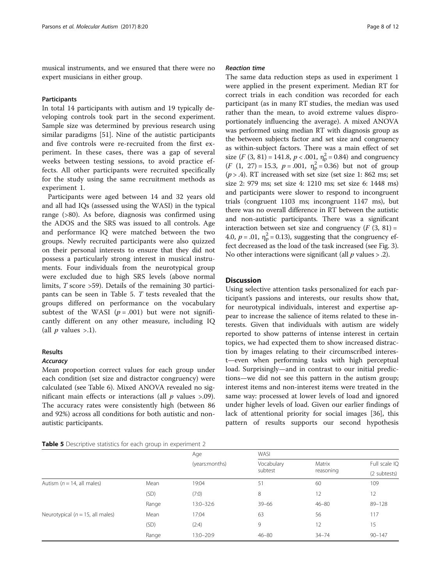musical instruments, and we ensured that there were no expert musicians in either group.

#### Participants

In total 14 participants with autism and 19 typically developing controls took part in the second experiment. Sample size was determined by previous research using similar paradigms [[51](#page-11-0)]. Nine of the autistic participants and five controls were re-recruited from the first experiment. In these cases, there was a gap of several weeks between testing sessions, to avoid practice effects. All other participants were recruited specifically for the study using the same recruitment methods as experiment 1.

Participants were aged between 14 and 32 years old and all had IQs (assessed using the WASI) in the typical range (>80). As before, diagnosis was confirmed using the ADOS and the SRS was issued to all controls. Age and performance IQ were matched between the two groups. Newly recruited participants were also quizzed on their personal interests to ensure that they did not possess a particularly strong interest in musical instruments. Four individuals from the neurotypical group were excluded due to high SRS levels (above normal limits, T score >59). Details of the remaining 30 participants can be seen in Table 5. T tests revealed that the groups differed on performance on the vocabulary subtest of the WASI ( $p = .001$ ) but were not significantly different on any other measure, including IQ (all  $p$  values >.1).

#### Results

### **Accuracy**

Mean proportion correct values for each group under each condition (set size and distractor congruency) were calculated (see Table [6](#page-8-0)). Mixed ANOVA revealed no significant main effects or interactions (all  $p$  values >.09). The accuracy rates were consistently high (between 86 and 92%) across all conditions for both autistic and nonautistic participants.

|  |  |  |  |  |  | Table 5 Descriptive statistics for each group in experiment 2 |  |
|--|--|--|--|--|--|---------------------------------------------------------------|--|
|--|--|--|--|--|--|---------------------------------------------------------------|--|

#### Reaction time

The same data reduction steps as used in experiment 1 were applied in the present experiment. Median RT for correct trials in each condition was recorded for each participant (as in many RT studies, the median was used rather than the mean, to avoid extreme values disproportionately influencing the average). A mixed ANOVA was performed using median RT with diagnosis group as the between subjects factor and set size and congruency as within-subject factors. There was a main effect of set size  $(F(3, 81) = 141.8, p < .001, \eta_{p}^{2} = 0.84)$  and congruency  $(F (1, 27) = 15.3, p = .001, \eta_p^2 = 0.36)$  but not of group  $(p > .4)$ . RT increased with set size (set size 1: 862 ms; set size 2: 979 ms; set size 4: 1210 ms; set size 6: 1448 ms) and participants were slower to respond to incongruent trials (congruent 1103 ms; incongruent 1147 ms), but there was no overall difference in RT between the autistic and non-autistic participants. There was a significant interaction between set size and congruency  $(F(3, 81))$ 4.0,  $p = .01$ ,  $\eta_p^2 = 0.13$ ), suggesting that the congruency effect decreased as the load of the task increased (see Fig. [3](#page-8-0)). No other interactions were significant (all  $p$  values  $>$  .2).

#### **Discussion**

Using selective attention tasks personalized for each participant's passions and interests, our results show that, for neurotypical individuals, interest and expertise appear to increase the salience of items related to these interests. Given that individuals with autism are widely reported to show patterns of intense interest in certain topics, we had expected them to show increased distraction by images relating to their circumscribed interest—even when performing tasks with high perceptual load. Surprisingly—and in contrast to our initial predictions—we did not see this pattern in the autism group; interest items and non-interest items were treated in the same way: processed at lower levels of load and ignored under higher levels of load. Given our earlier findings of lack of attentional priority for social images [[36](#page-11-0)], this pattern of results supports our second hypothesis

|                                      |       | Age            | WASI       |           |               |  |  |  |
|--------------------------------------|-------|----------------|------------|-----------|---------------|--|--|--|
|                                      |       | (years:months) | Vocabulary | Matrix    | Full scale IQ |  |  |  |
|                                      |       |                | subtest    | reasoning | (2 subtests)  |  |  |  |
| Autism ( $n = 14$ , all males)       | Mean  | 19:04          | 51         | 60        | 109           |  |  |  |
|                                      | (SD)  | (7:0)          | 8          | 12        | 12            |  |  |  |
|                                      | Range | 13:0-32:6      | $39 - 66$  | $46 - 80$ | 89-128        |  |  |  |
| Neurotypical ( $n = 15$ , all males) | Mean  | 17:04          | 63         | 56        | 117           |  |  |  |
|                                      | (SD)  | (2:4)          | 9          | 12        | 15            |  |  |  |
|                                      | Range | 13:0-20:9      | $46 - 80$  | $34 - 74$ | $90 - 147$    |  |  |  |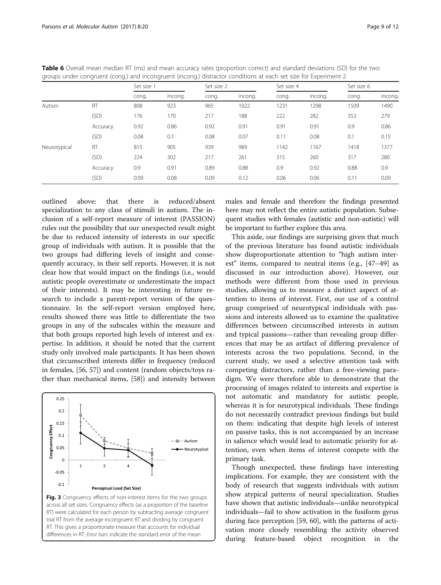|              |           | Set size 1 |         |       | Set size 2 |       | Set size 4 |       | Set size 6 |  |
|--------------|-----------|------------|---------|-------|------------|-------|------------|-------|------------|--|
|              |           | cong.      | incong. | cong. | incong.    | cong. | incong.    | cong. | incong.    |  |
| Autism       | <b>RT</b> | 808        | 923     | 965   | 1022       | 1231  | 1298       | 1509  | 1490       |  |
|              | (SD)      | 176        | 170     | 217   | 188        | 222   | 282        | 353   | 279        |  |
|              | Accuracy  | 0.92       | 0.86    | 0.92  | 0.91       | 0.91  | 0.91       | 0.9   | 0.86       |  |
|              | (SD)      | 0.08       | 0.1     | 0.08  | 0.07       | 0.11  | 0.08       | 0.1   | 0.15       |  |
| Neurotypical | <b>RT</b> | 815        | 905     | 939   | 989        | 1142  | 1167       | 1418  | 1377       |  |
|              | (SD)      | 224        | 302     | 217   | 261        | 315   | 260        | 317   | 280        |  |
|              | Accuracy  | 0.9        | 0.91    | 0.89  | 0.88       | 0.9   | 0.92       | 0.88  | 0.9        |  |
|              | (SD)      | 0.09       | 0.08    | 0.09  | 0.12       | 0.06  | 0.06       | 0.11  | 0.09       |  |

<span id="page-8-0"></span>Table 6 Overall mean median RT (ms) and mean accuracy rates (proportion correct) and standard deviations (SD) for the two groups under congruent (cong.) and incongruent (incong.) distractor conditions at each set size for Experiment 2

outlined above: that there is reduced/absent specialization to any class of stimuli in autism. The inclusion of a self-report measure of interest (PASSION) rules out the possibility that our unexpected result might be due to reduced intensity of interests in our specific group of individuals with autism. It is possible that the two groups had differing levels of insight and consequently accuracy, in their self reports. However, it is not clear how that would impact on the findings (i.e., would autistic people overestimate or underestimate the impact of their interests). It may be interesting in future research to include a parent-report version of the questionnaire. In the self-report version employed here, results showed there was little to differentiate the two groups in any of the subscales within the measure and that both groups reported high levels of interest and expertise. In addition, it should be noted that the current study only involved male participants. It has been shown that circumscribed interests differ in frequency (reduced in females, [[56, 57](#page-11-0)]) and content (random objects/toys rather than mechanical items, [\[58\]](#page-11-0)) and intensity between



RT) were calculated for each person by subtracting average congruent trial RT from the average incongruent RT and dividing by congruent RT. This gives a proportionate measure that accounts for individual differences in RT. Error bars indicate the standard error of the mean

males and female and therefore the findings presented here may not reflect the entire autistic population. Subsequent studies with females (autistic and non-autistic) will be important to further explore this area.

This aside, our findings are surprising given that much of the previous literature has found autistic individuals show disproportionate attention to "high autism interest" items, compared to neutral items (e.g., [\[47](#page-11-0)–[49\]](#page-11-0) as discussed in our introduction above). However, our methods were different from those used in previous studies, allowing us to measure a distinct aspect of attention to items of interest. First, our use of a control group comprised of neurotypical individuals with passions and interests allowed us to examine the qualitative differences between circumscribed interests in autism and typical passions—rather than revealing group differences that may be an artifact of differing prevalence of interests across the two populations. Second, in the current study, we used a selective attention task with competing distractors, rather than a free-viewing paradigm. We were therefore able to demonstrate that the processing of images related to interests and expertise is not automatic and mandatory for autistic people, whereas it is for neurotypical individuals. These findings do not necessarily contradict previous findings but build on them: indicating that despite high levels of interest on passive tasks, this is not accompanied by an increase in salience which would lead to automatic priority for attention, even when items of interest compete with the primary task.

Though unexpected, these findings have interesting implications. For example, they are consistent with the body of research that suggests individuals with autism show atypical patterns of neural specialization. Studies have shown that autistic individuals—unlike neurotypical individuals—fail to show activation in the fusiform gyrus during face perception [\[59](#page-11-0), [60](#page-11-0)], with the patterns of activation more closely resembling the activity observed during feature-based object recognition in the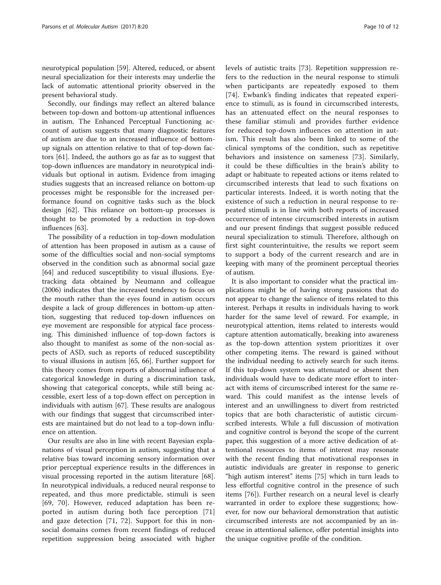neurotypical population [[59\]](#page-11-0). Altered, reduced, or absent neural specialization for their interests may underlie the lack of automatic attentional priority observed in the present behavioral study.

Secondly, our findings may reflect an altered balance between top-down and bottom-up attentional influences in autism. The Enhanced Perceptual Functioning account of autism suggests that many diagnostic features of autism are due to an increased influence of bottomup signals on attention relative to that of top-down factors [[61\]](#page-11-0). Indeed, the authors go as far as to suggest that top-down influences are mandatory in neurotypical individuals but optional in autism. Evidence from imaging studies suggests that an increased reliance on bottom-up processes might be responsible for the increased performance found on cognitive tasks such as the block design [[62](#page-11-0)]. This reliance on bottom-up processes is thought to be promoted by a reduction in top-down influences [[63\]](#page-11-0).

The possibility of a reduction in top-down modulation of attention has been proposed in autism as a cause of some of the difficulties social and non-social symptoms observed in the condition such as abnormal social gaze [[64\]](#page-11-0) and reduced susceptibility to visual illusions. Eyetracking data obtained by Neumann and colleague (2006) indicates that the increased tendency to focus on the mouth rather than the eyes found in autism occurs despite a lack of group differences in bottom-up attention, suggesting that reduced top-down influences on eye movement are responsible for atypical face processing. This diminished influence of top-down factors is also thought to manifest as some of the non-social aspects of ASD, such as reports of reduced susceptibility to visual illusions in autism [[65](#page-11-0), [66\]](#page-11-0). Further support for this theory comes from reports of abnormal influence of categorical knowledge in during a discrimination task, showing that categorical concepts, while still being accessible, exert less of a top-down effect on perception in individuals with autism [[67](#page-11-0)]. These results are analogous with our findings that suggest that circumscribed interests are maintained but do not lead to a top-down influence on attention.

Our results are also in line with recent Bayesian explanations of visual perception in autism, suggesting that a relative bias toward incoming sensory information over prior perceptual experience results in the differences in visual processing reported in the autism literature [\[68](#page-11-0)]. In neurotypical individuals, a reduced neural response to repeated, and thus more predictable, stimuli is seen [[69, 70](#page-11-0)]. However, reduced adaptation has been reported in autism during both face perception [\[71](#page-11-0)] and gaze detection [\[71](#page-11-0), [72](#page-11-0)]. Support for this in nonsocial domains comes from recent findings of reduced repetition suppression being associated with higher levels of autistic traits [[73\]](#page-11-0). Repetition suppression refers to the reduction in the neural response to stimuli when participants are repeatedly exposed to them [[74\]](#page-11-0). Ewbank's finding indicates that repeated experience to stimuli, as is found in circumscribed interests, has an attenuated effect on the neural responses to these familiar stimuli and provides further evidence for reduced top-down influences on attention in autism. This result has also been linked to some of the clinical symptoms of the condition, such as repetitive behaviors and insistence on sameness [[73](#page-11-0)]. Similarly, it could be these difficulties in the brain's ability to adapt or habituate to repeated actions or items related to circumscribed interests that lead to such fixations on particular interests. Indeed, it is worth noting that the existence of such a reduction in neural response to repeated stimuli is in line with both reports of increased occurrence of intense circumscribed interests in autism and our present findings that suggest possible reduced neural specialization to stimuli. Therefore, although on first sight counterintuitive, the results we report seem to support a body of the current research and are in keeping with many of the prominent perceptual theories of autism.

It is also important to consider what the practical implications might be of having strong passions that do not appear to change the salience of items related to this interest. Perhaps it results in individuals having to work harder for the same level of reward. For example, in neurotypical attention, items related to interests would capture attention automatically, breaking into awareness as the top-down attention system prioritizes it over other competing items. The reward is gained without the individual needing to actively search for such items. If this top-down system was attenuated or absent then individuals would have to dedicate more effort to interact with items of circumscribed interest for the same reward. This could manifest as the intense levels of interest and an unwillingness to divert from restricted topics that are both characteristic of autistic circumscribed interests. While a full discussion of motivation and cognitive control is beyond the scope of the current paper, this suggestion of a more active dedication of attentional resources to items of interest may resonate with the recent finding that motivational responses in autistic individuals are greater in response to generic "high autism interest" items [\[75\]](#page-11-0) which in turn leads to less effortful cognitive control in the presence of such items [[76\]](#page-11-0)). Further research on a neural level is clearly warranted in order to explore these suggestions; however, for now our behavioral demonstration that autistic circumscribed interests are not accompanied by an increase in attentional salience, offer potential insights into the unique cognitive profile of the condition.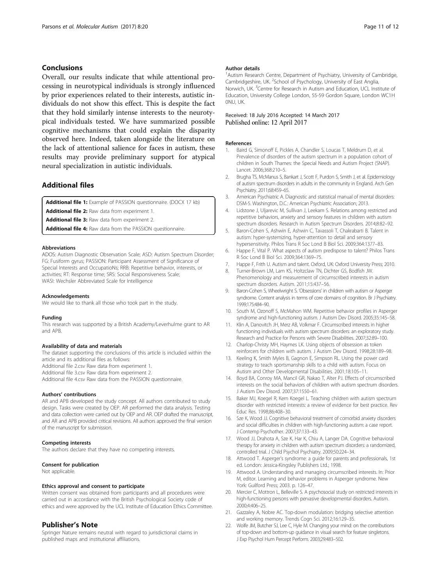## <span id="page-10-0"></span>Conclusions

Overall, our results indicate that while attentional processing in neurotypical individuals is strongly influenced by prior experiences related to their interests, autistic individuals do not show this effect. This is despite the fact that they hold similarly intense interests to the neurotypical individuals tested. We have summarized possible cognitive mechanisms that could explain the disparity observed here. Indeed, taken alongside the literature on the lack of attentional salience for faces in autism, these results may provide preliminary support for atypical neural specialization in autistic individuals.

## Additional files

[Additional file 1:](dx.doi.org/10.1186/s13229-017-0132-1) Example of PASSION questionnaire. (DOCX 17 kb)

[Additional file 2:](dx.doi.org/10.1186/s13229-017-0132-1) Raw data from experiment 1.

[Additional file 3:](dx.doi.org/10.1186/s13229-017-0132-1) Raw data from experiment 2.

[Additional file 4:](dx.doi.org/10.1186/s13229-017-0132-1) Raw data from the PASSION questionnaire.

#### Abbreviations

ADOS: Autism Diagnostic Observation Scale; ASD: Autism Spectrum Disorder; FG: Fusiform gyrus; PASSION: Participant Assessment of Significance of Special Interests and OccupatioNs; RRB: Repetitive behavior, interests, or activities; RT: Response time; SRS: Social Responsiveness Scale; WASI: Wechsler Abbreviated Scale for Intelligence

#### Acknowledgements

We would like to thank all those who took part in the study.

#### Funding

This research was supported by a British Academy/Leverhulme grant to AR and APB.

#### Availability of data and materials

The dataset supporting the conclusions of this article is included within the article and its additional files as follows:

Additional file 2.csv Raw data from experiment 1.

Additional file 3.csv Raw data from experiment 2.

Additional file 4.csv Raw data from the PASSION questionnaire.

### Authors' contributions

AR and APB developed the study concept. All authors contributed to study design. Tasks were created by OEP. AR performed the data analysis. Testing and data collection were carried out by OEP and AR. OEP drafted the manuscript, and AR and APB provided critical revisions. All authors approved the final version of the manuscript for submission.

#### Competing interests

The authors declare that they have no competing interests.

#### Consent for publication

Not applicable.

#### Ethics approval and consent to participate

Written consent was obtained from participants and all procedures were carried out in accordance with the British Psychological Society code of ethics and were approved by the UCL Institute of Education Ethics Committee.

#### Publisher's Note

Springer Nature remains neutral with regard to jurisdictional claims in published maps and institutional affiliations.

#### Author details

<sup>1</sup> Autism Research Centre, Department of Psychiatry, University of Cambridge, Cambridgeshire, UK. <sup>2</sup>School of Psychology, University of East Anglia, Norwich, UK.<sup>3</sup> Centre for Research in Autism and Education, UCL Institute of Education, University College London, 55-59 Gordon Square, London WC1H 0NU, UK.

#### Received: 18 July 2016 Accepted: 14 March 2017 Published online: 12 April 2017

#### References

- 1. Baird G, Simonoff E, Pickles A, Chandler S, Loucas T, Meldrum D, et al. Prevalence of disorders of the autism spectrum in a population cohort of children in South Thames: the Special Needs and Autism Project (SNAP). Lancet. 2006;368:210–5.
- 2. Brugha TS, McManus S, Bankart J, Scott F, Purdon S, Smith J, et al. Epidemiology of autism spectrum disorders in adults in the community in England. Arch Gen Psychiatry. 2011;68:459–65.
- 3. American Psychiatric A. Diagnostic and statistical manual of mental disorders: DSM-5. Washington, D.C.: American Psychiatric Association; 2013.
- 4. Lidstone J, Uljarevic M, Sullivan J, Leekam S. Relations among restricted and repetitive behaviors, anxiety and sensory features in children with autism spectrum disorders. Research in Autism Spectrum Disorders. 2014;8:82–92.
- 5. Baron-Cohen S, Ashwin E, Ashwin C, Tavassoli T, Chakrabarti B. Talent in autism: hyper-systemizing, hyper-attention to detail and sensory hypersensitivity. Philos Trans R Soc Lond B Biol Sci. 2009;364:1377–83.
- 6. Happe F, Vital P. What aspects of autism predispose to talent? Philos Trans R Soc Lond B Biol Sci. 2009;364:1369–75.
- 7. Happe F, Frith U. Autism and talent. Oxford, UK: Oxford University Press; 2010.
- Turner-Brown LM, Lam KS, Holtzclaw TN, Dichter GS, Bodfish JW. Phenomenology and measurement of circumscribed interests in autism spectrum disorders. Autism. 2011;15:437–56.
- 9. Baron-Cohen S, Wheelwright S. 'Obsessions' in children with autism or Asperger syndrome. Content analysis in terms of core domains of cognition. Br J Psychiatry. 1999;175:484–90.
- 10. South M, Ozonoff S, McMahon WM. Repetitive behavior profiles in Asperger syndrome and high-functioning autism. J Autism Dev Disord. 2005;35:145–58.
- 11. Klin A, Danovitch JH, Merz AB, Volkmar F. Circumscribed interests in higher functioning individuals with autism spectrum disorders: an exploratory study. Research and Practice for Persons with Severe Disabilities. 2007;32:89–100.
- 12. Charlop-Christy MH, Haymes LK. Using objects of obsession as token reinforcers for children with autism. J Autism Dev Disord. 1998;28:189–98.
- 13. Keeling K, Smith Myles B, Gagnon E, Simpson RL. Using the power card strategy to teach sportsmanship skills to a child with autism. Focus on Autism and Other Developmental Disabilities. 2001;18:105–11.
- 14. Boyd BA, Conroy MA, Mancil GR, Nakao T, Alter PJ. Effects of circumscribed interests on the social behaviors of children with autism spectrum disorders. J Autism Dev Disord. 2007;37:1550–61.
- 15. Baker MJ, Koegel R, Kern Koegel L. Teaching children with autism spectrum disorder with restricted interests: a review of evidence for best practice. Rev Educ Res. 1998;86:408–30.
- 16. Sze K, Wood JJ. Cognitive behavioral treatment of comorbid anxiety disorders and social difficulties in children with high-functioning autism: a case report. J Contemp Psychother. 2007;37:133–43.
- 17. Wood JJ, Drahota A, Sze K, Har K, Chiu A, Langer DA. Cognitive behavioral therapy for anxiety in children with autism spectrum disorders: a randomized, controlled trial. J Child Psychol Psychiatry. 2009;50:224–34.
- 18. Attwood T. Asperger's syndrome: a guide for parents and professionals, 1st ed. London: Jessica-Kingsley Publishers Ltd.; 1998.
- 19. Attwood A. Understanding and managing circumscribed interests. In: Prior M, editor. Learning and behavior problems in Asperger syndrome. New York: Guilford Press; 2003. p. 126–47.
- 20. Mercier C, Mottron L, Belleville S. A psychosocial study on restricted interests in high-functioning persons with pervasive developmental disorders. Autism. 2000;4:406–25.
- 21. Gazzaley A, Nobre AC. Top-down modulation: bridging selective attention and working memory. Trends Cogn Sci. 2012;16:129–35.
- 22. Wolfe JM, Butcher SJ, Lee C, Hyle M. Changing your mind: on the contributions of top-down and bottom-up guidance in visual search for feature singletons. J Exp Psychol Hum Percept Perform. 2003;29:483–502.